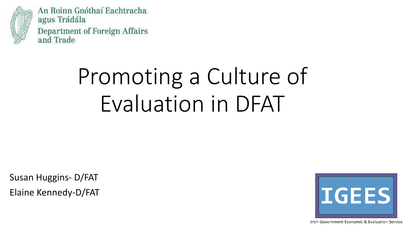

An Roinn Gnóthaí Eachtracha agus Trádála Department of Foreign Affairs and Trade

# Promoting a Culture of Evaluation in DFAT

Susan Huggins- D/FAT Elaine Kennedy-D/FAT



Irish Government Economic & Evaluation Service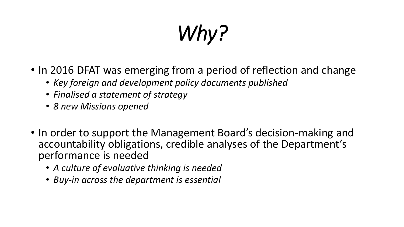# *Why?*

- In 2016 DFAT was emerging from a period of reflection and change
	- *Key foreign and development policy documents published*
	- *Finalised a statement of strategy*
	- *8 new Missions opened*
- In order to support the Management Board's decision-making and accountability obligations, credible analyses of the Department's performance is needed
	- *A culture of evaluative thinking is needed*
	- *Buy-in across the department is essential*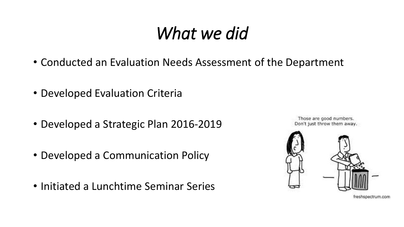#### *What we did*

- Conducted an Evaluation Needs Assessment of the Department
- Developed Evaluation Criteria
- Developed a Strategic Plan 2016-2019
- Developed a Communication Policy
- Initiated a Lunchtime Seminar Series

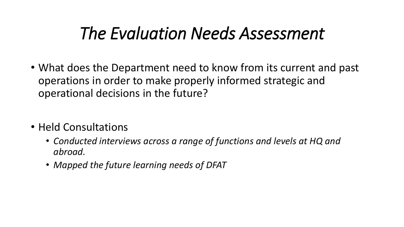#### *The Evaluation Needs Assessment*

- What does the Department need to know from its current and past operations in order to make properly informed strategic and operational decisions in the future?
- Held Consultations
	- *Conducted interviews across a range of functions and levels at HQ and abroad.*
	- *Mapped the future learning needs of DFAT*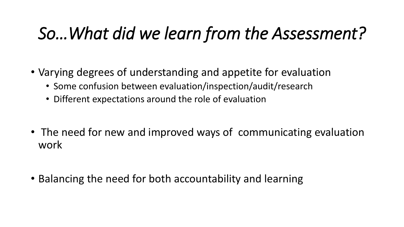### *So…What did we learn from the Assessment?*

- Varying degrees of understanding and appetite for evaluation
	- Some confusion between evaluation/inspection/audit/research
	- Different expectations around the role of evaluation
- The need for new and improved ways of communicating evaluation work
- Balancing the need for both accountability and learning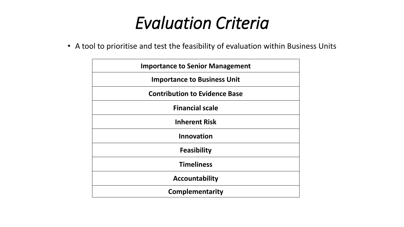#### *Evaluation Criteria*

• A tool to prioritise and test the feasibility of evaluation within Business Units

| <b>Importance to Senior Management</b> |
|----------------------------------------|
| <b>Importance to Business Unit</b>     |
| <b>Contribution to Evidence Base</b>   |
| <b>Financial scale</b>                 |
| <b>Inherent Risk</b>                   |
| <b>Innovation</b>                      |
| <b>Feasibility</b>                     |
| <b>Timeliness</b>                      |
| <b>Accountability</b>                  |
| <b>Complementarity</b>                 |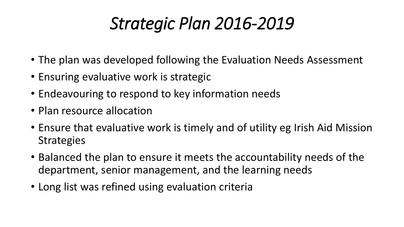#### *Strategic Plan 2016-2019*

- The plan was developed following the Evaluation Needs Assessment
- Ensuring evaluative work is strategic
- Endeavouring to respond to key information needs
- Plan resource allocation
- Ensure that evaluative work is timely and of utility eg Irish Aid Mission **Strategies**
- Balanced the plan to ensure it meets the accountability needs of the department, senior management, and the learning needs
- Long list was refined using evaluation criteria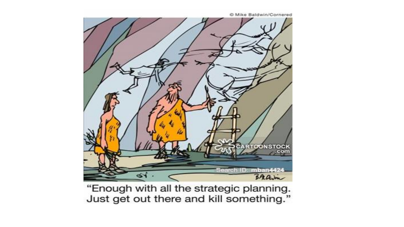

"Enough with all the strategic planning. Just get out there and kill something."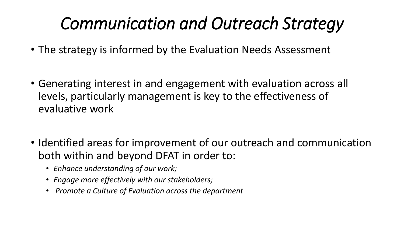## *Communication and Outreach Strategy*

- The strategy is informed by the Evaluation Needs Assessment
- Generating interest in and engagement with evaluation across all levels, particularly management is key to the effectiveness of evaluative work
- Identified areas for improvement of our outreach and communication both within and beyond DFAT in order to:
	- *Enhance understanding of our work;*
	- *Engage more effectively with our stakeholders;*
	- *Promote a Culture of Evaluation across the department*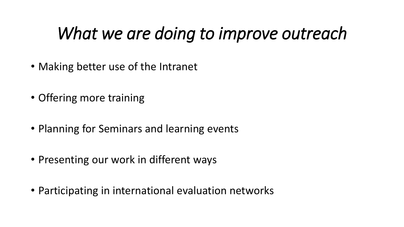#### *What we are doing to improve outreach*

- Making better use of the Intranet
- Offering more training
- Planning for Seminars and learning events
- Presenting our work in different ways
- Participating in international evaluation networks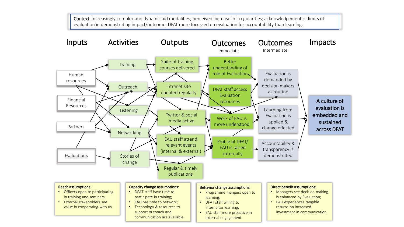Context: Increasingly complex and dynamic aid modalities; perceived increase in irregularities; acknowledgement of limits of evaluation in demonstrating impact/outcome; DFAT more focussed on evaluation for accountability than learning.

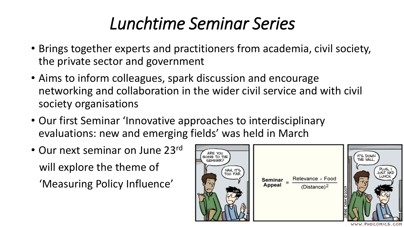#### *Lunchtime Seminar Series*

- Brings together experts and practitioners from academia, civil society, the private sector and government
- Aims to inform colleagues, spark discussion and encourage networking and collaboration in the wider civil service and with civil society organisations
- Our first Seminar 'Innovative approaches to interdisciplinary evaluations: new and emerging fields' was held in March
- Our next seminar on June 23rd will explore the theme of

'Measuring Policy Influence'

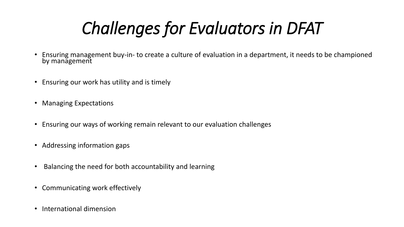# *Challenges for Evaluators in DFAT*

- Ensuring management buy-in- to create a culture of evaluation in a department, it needs to be championed by management
- Ensuring our work has utility and is timely
- Managing Expectations
- Ensuring our ways of working remain relevant to our evaluation challenges
- Addressing information gaps
- Balancing the need for both accountability and learning
- Communicating work effectively
- International dimension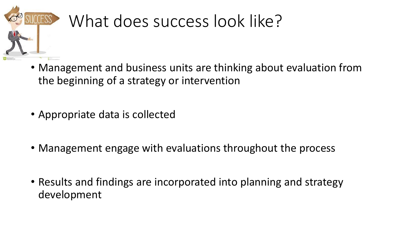

## What does success look like?

- Management and business units are thinking about evaluation from the beginning of a strategy or intervention
- Appropriate data is collected
- Management engage with evaluations throughout the process
- Results and findings are incorporated into planning and strategy development